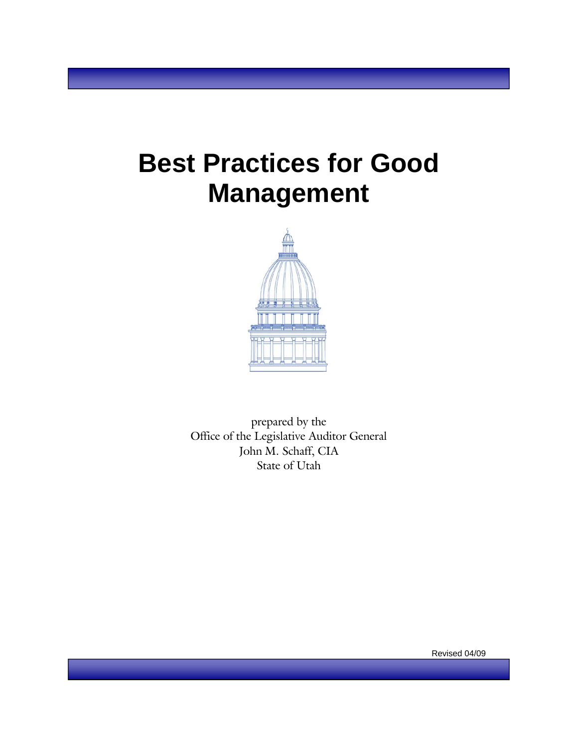# **Best Practices for Good Management**



prepared by the Office of the Legislative Auditor General John M. Schaff, CIA State of Utah

Revised 04/09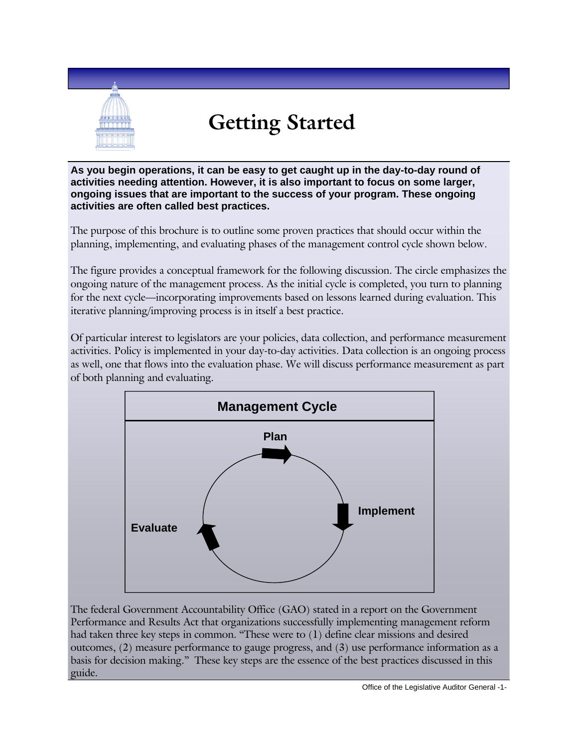

# **Getting Started**

**As you begin operations, it can be easy to get caught up in the day-to-day round of activities needing attention. However, it is also important to focus on some larger, ongoing issues that are important to the success of your program. These ongoing activities are often called best practices.** 

The purpose of this brochure is to outline some proven practices that should occur within the planning, implementing, and evaluating phases of the management control cycle shown below.

The figure provides a conceptual framework for the following discussion. The circle emphasizes the ongoing nature of the management process. As the initial cycle is completed, you turn to planning for the next cycle—incorporating improvements based on lessons learned during evaluation. This iterative planning/improving process is in itself a best practice.

Of particular interest to legislators are your policies, data collection, and performance measurement activities. Policy is implemented in your day-to-day activities. Data collection is an ongoing process as well, one that flows into the evaluation phase. We will discuss performance measurement as part of both planning and evaluating.



The federal Government Accountability Office (GAO) stated in a report on the Government Performance and Results Act that organizations successfully implementing management reform had taken three key steps in common. "These were to (1) define clear missions and desired outcomes, (2) measure performance to gauge progress, and (3) use performance information as a basis for decision making." These key steps are the essence of the best practices discussed in this guide.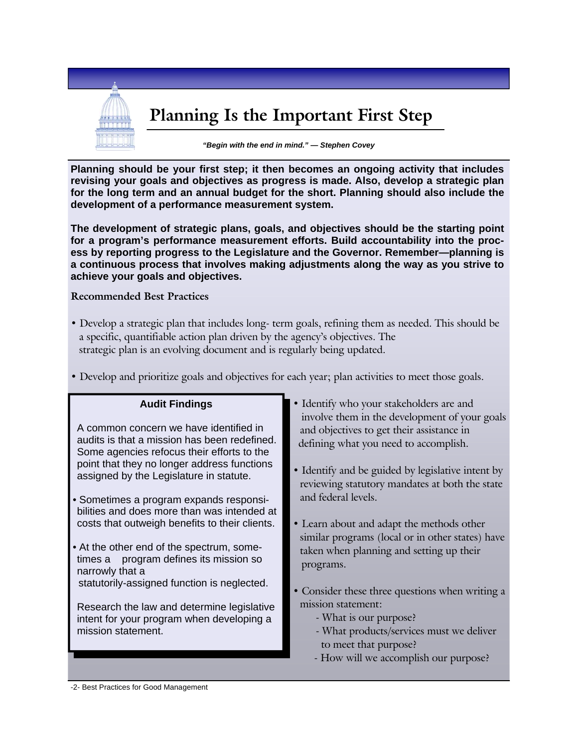

**Planning should be your first step; it then becomes an ongoing activity that includes revising your goals and objectives as progress is made. Also, develop a strategic plan for the long term and an annual budget for the short. Planning should also include the development of a performance measurement system.** 

**The development of strategic plans, goals, and objectives should be the starting point for a program's performance measurement efforts. Build accountability into the process by reporting progress to the Legislature and the Governor. Remember—planning is a continuous process that involves making adjustments along the way as you strive to achieve your goals and objectives.** 

#### **Recommended Best Practices**

• Develop a strategic plan that includes long- term goals, refining them as needed. This should be a specific, quantifiable action plan driven by the agency's objectives. The strategic plan is an evolving document and is regularly being updated.

• Develop and prioritize goals and objectives for each year; plan activities to meet those goals.

#### • Identify who your stakeholders are and involve them in the development of your goals and objectives to get their assistance in defining what you need to accomplish. • Identify and be guided by legislative intent by reviewing statutory mandates at both the state and federal levels. • Learn about and adapt the methods other similar programs (local or in other states) have taken when planning and setting up their programs. • Consider these three questions when writing a mission statement: - What is our purpose? - What products/services must we deliver to meet that purpose? - How will we accomplish our purpose? **Audit Findings**  A common concern we have identified in audits is that a mission has been redefined. Some agencies refocus their efforts to the point that they no longer address functions assigned by the Legislature in statute. • Sometimes a program expands responsibilities and does more than was intended at costs that outweigh benefits to their clients. • At the other end of the spectrum, sometimes a program defines its mission so narrowly that a statutorily-assigned function is neglected. Research the law and determine legislative intent for your program when developing a mission statement.

-2- Best Practices for Good Management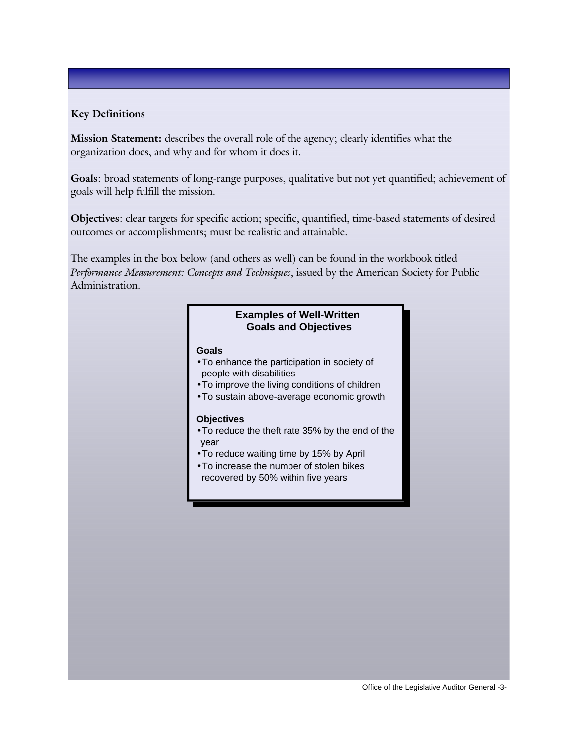### **Key Definitions**

**Mission Statement:** describes the overall role of the agency; clearly identifies what the organization does, and why and for whom it does it.

**Goals**: broad statements of long-range purposes, qualitative but not yet quantified; achievement of goals will help fulfill the mission.

**Objectives**: clear targets for specific action; specific, quantified, time-based statements of desired outcomes or accomplishments; must be realistic and attainable.

The examples in the box below (and others as well) can be found in the workbook titled *Performance Measurement: Concepts and Techniques*, issued by the American Society for Public Administration.

#### **Examples of Well-Written Goals and Objectives**

#### **Goals**

- •To enhance the participation in society of people with disabilities
- •To improve the living conditions of children
- •To sustain above-average economic growth

#### **Objectives**

- •To reduce the theft rate 35% by the end of the year
- •To reduce waiting time by 15% by April
- •To increase the number of stolen bikes recovered by 50% within five years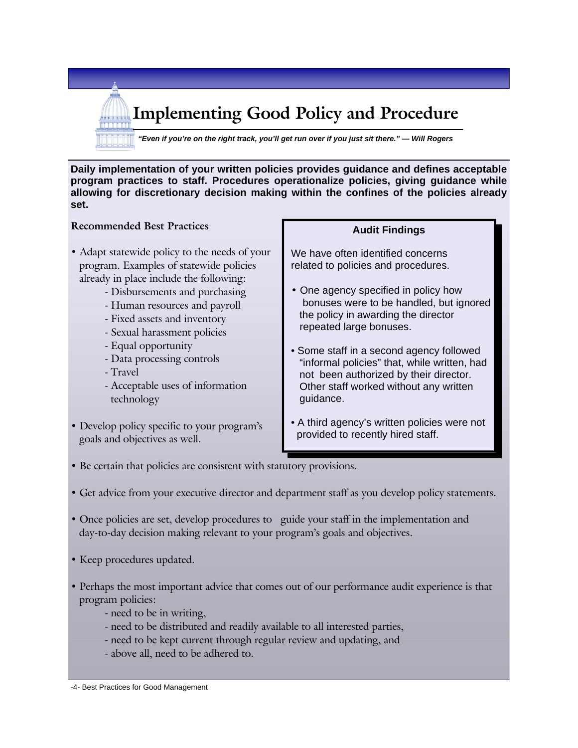**Implementing Good Policy and Procedure** 

*"Even if you're on the right track, you'll get run over if you just sit there." — Will Rogers* 

**Daily implementation of your written policies provides guidance and defines acceptable program practices to staff. Procedures operationalize policies, giving guidance while allowing for discretionary decision making within the confines of the policies already set.** 

#### **Recommended Best Practices**

- Adapt statewide policy to the needs of your program. Examples of statewide policies already in place include the following:
	- Disbursements and purchasing
	- Human resources and payroll
	- Fixed assets and inventory
	- Sexual harassment policies
	- Equal opportunity
	- Data processing controls
	- Travel
	- Acceptable uses of information technology
- Develop policy specific to your program's goals and objectives as well.

#### **Audit Findings**

We have often identified concerns related to policies and procedures.

- One agency specified in policy how bonuses were to be handled, but ignored the policy in awarding the director repeated large bonuses.
- Some staff in a second agency followed "informal policies" that, while written, had not been authorized by their director. Other staff worked without any written guidance.
- A third agency's written policies were not provided to recently hired staff.
- Be certain that policies are consistent with statutory provisions.
- Get advice from your executive director and department staff as you develop policy statements.
- Once policies are set, develop procedures to guide your staff in the implementation and day-to-day decision making relevant to your program's goals and objectives.
- Keep procedures updated.
- Perhaps the most important advice that comes out of our performance audit experience is that program policies:
	- need to be in writing,
	- need to be distributed and readily available to all interested parties,
	- need to be kept current through regular review and updating, and
	- above all, need to be adhered to.

-4- Best Practices for Good Management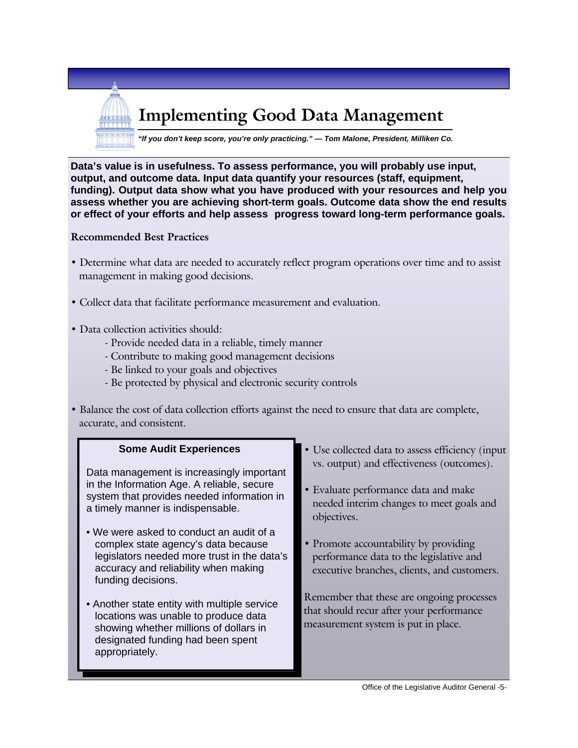

**Data's value is in usefulness. To assess performance, you will probably use input, output, and outcome data. Input data quantify your resources (staff, equipment, funding). Output data show what you have produced with your resources and help you assess whether you are achieving short-term goals. Outcome data show the end results or effect of your efforts and help assess progress toward long-term performance goals.** 

#### **Recommended Best Practices**

- Determine what data are needed to accurately reflect program operations over time and to assist management in making good decisions.
- Collect data that facilitate performance measurement and evaluation.
- Data collection activities should:
	- Provide needed data in a reliable, timely manner
	- Contribute to making good management decisions
	- Be linked to your goals and objectives
	- Be protected by physical and electronic security controls
- Balance the cost of data collection efforts against the need to ensure that data are complete, accurate, and consistent.

### **Some Audit Experiences** Data management is increasingly important in the Information Age. A reliable, secure system that provides needed information in a timely manner is indispensable. • We were asked to conduct an audit of a complex state agency's data because legislators needed more trust in the data's accuracy and reliability when making funding decisions. • Another state entity with multiple service locations was unable to produce data showing whether millions of dollars in

designated funding had been spent

appropriately.

- Use collected data to assess efficiency (input vs. output) and effectiveness (outcomes).
- Evaluate performance data and make needed interim changes to meet goals and objectives.
- Promote accountability by providing performance data to the legislative and executive branches, clients, and customers.

Remember that these are ongoing processes that should recur after your performance measurement system is put in place.

#### Office of the Legislative Auditor General -5-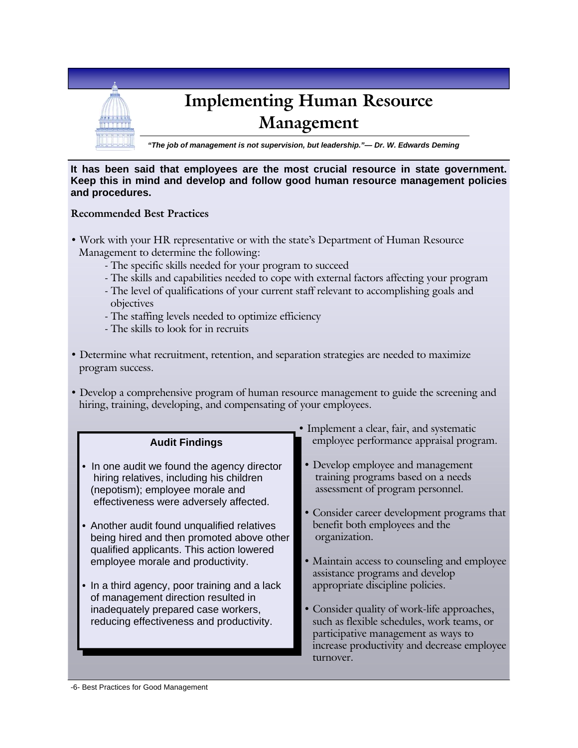

#### **It has been said that employees are the most crucial resource in state government. Keep this in mind and develop and follow good human resource management policies and procedures.**

#### **Recommended Best Practices**

- Work with your HR representative or with the state's Department of Human Resource Management to determine the following:
	- The specific skills needed for your program to succeed
	- The skills and capabilities needed to cope with external factors affecting your program
	- The level of qualifications of your current staff relevant to accomplishing goals and objectives
	- The staffing levels needed to optimize efficiency
	- The skills to look for in recruits
- Determine what recruitment, retention, and separation strategies are needed to maximize program success.
- Develop a comprehensive program of human resource management to guide the screening and hiring, training, developing, and compensating of your employees.

| • Implement a clear, fair, and systematic                                                                                                                                                                                                                                                                                                                                                                                                                                                                                   |                                                                                                                                                                                                                                                                                                                                                                                                                                                                                                                                      |
|-----------------------------------------------------------------------------------------------------------------------------------------------------------------------------------------------------------------------------------------------------------------------------------------------------------------------------------------------------------------------------------------------------------------------------------------------------------------------------------------------------------------------------|--------------------------------------------------------------------------------------------------------------------------------------------------------------------------------------------------------------------------------------------------------------------------------------------------------------------------------------------------------------------------------------------------------------------------------------------------------------------------------------------------------------------------------------|
| <b>Audit Findings</b>                                                                                                                                                                                                                                                                                                                                                                                                                                                                                                       | employee performance appraisal program.                                                                                                                                                                                                                                                                                                                                                                                                                                                                                              |
| • In one audit we found the agency director<br>hiring relatives, including his children<br>(nepotism); employee morale and<br>effectiveness were adversely affected.<br>Another audit found unqualified relatives<br>being hired and then promoted above other<br>qualified applicants. This action lowered<br>employee morale and productivity.<br>• In a third agency, poor training and a lack<br>of management direction resulted in<br>inadequately prepared case workers,<br>reducing effectiveness and productivity. | • Develop employee and management<br>training programs based on a needs<br>assessment of program personnel.<br>• Consider career development programs that<br>benefit both employees and the<br>organization.<br>• Maintain access to counseling and employee<br>assistance programs and develop<br>appropriate discipline policies.<br>• Consider quality of work-life approaches,<br>such as flexible schedules, work teams, or<br>participative management as ways to<br>increase productivity and decrease employee<br>turnover. |
|                                                                                                                                                                                                                                                                                                                                                                                                                                                                                                                             |                                                                                                                                                                                                                                                                                                                                                                                                                                                                                                                                      |

-6- Best Practices for Good Management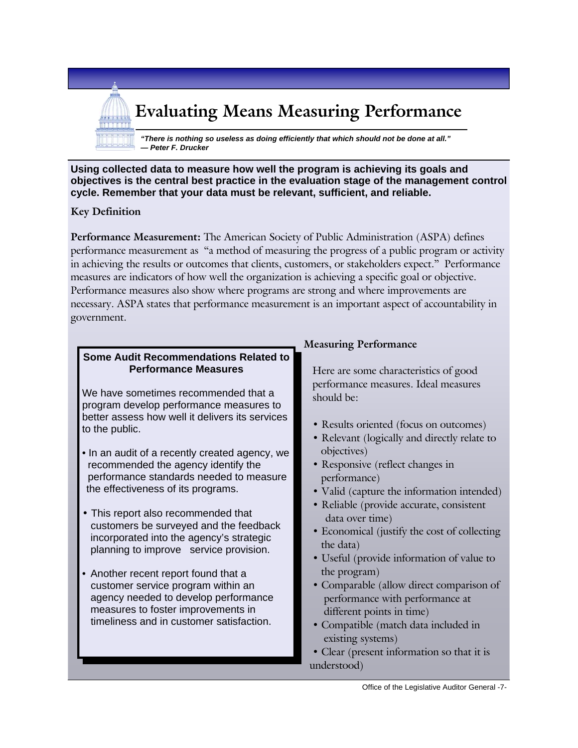## **Evaluating Means Measuring Performance**

*"There is nothing so useless as doing efficiently that which should not be done at all." — Peter F. Drucker* 

**Using collected data to measure how well the program is achieving its goals and objectives is the central best practice in the evaluation stage of the management control cycle. Remember that your data must be relevant, sufficient, and reliable.** 

#### **Key Definition**

**Performance Measurement:** The American Society of Public Administration (ASPA) defines performance measurement as "a method of measuring the progress of a public program or activity in achieving the results or outcomes that clients, customers, or stakeholders expect." Performance measures are indicators of how well the organization is achieving a specific goal or objective. Performance measures also show where programs are strong and where improvements are necessary. ASPA states that performance measurement is an important aspect of accountability in government.

#### **Some Audit Recommendations Related to Performance Measures**

We have sometimes recommended that a program develop performance measures to better assess how well it delivers its services to the public.

- In an audit of a recently created agency, we recommended the agency identify the performance standards needed to measure the effectiveness of its programs.
- This report also recommended that customers be surveyed and the feedback incorporated into the agency's strategic planning to improve service provision.
- Another recent report found that a customer service program within an agency needed to develop performance measures to foster improvements in timeliness and in customer satisfaction.

#### **Measuring Performance**

 Here are some characteristics of good performance measures. Ideal measures should be:

- Results oriented (focus on outcomes)
- Relevant (logically and directly relate to objectives)
- Responsive (reflect changes in performance)
- Valid (capture the information intended)
- Reliable (provide accurate, consistent data over time)
- Economical (justify the cost of collecting the data)
- Useful (provide information of value to the program)
- Comparable (allow direct comparison of performance with performance at different points in time)
- Compatible (match data included in existing systems)
- Clear (present information so that it is understood)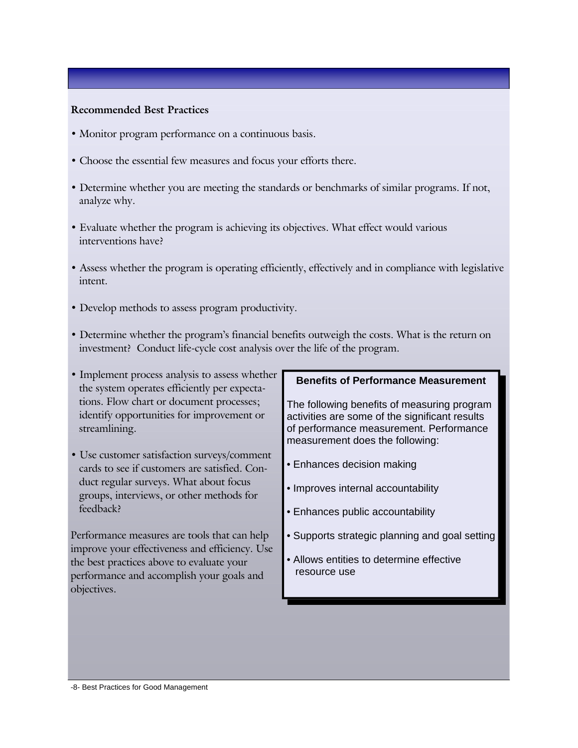#### **Recommended Best Practices**

- Monitor program performance on a continuous basis.
- Choose the essential few measures and focus your efforts there.
- Determine whether you are meeting the standards or benchmarks of similar programs. If not, analyze why.
- Evaluate whether the program is achieving its objectives. What effect would various interventions have?
- Assess whether the program is operating efficiently, effectively and in compliance with legislative intent.
- Develop methods to assess program productivity.
- Determine whether the program's financial benefits outweigh the costs. What is the return on investment? Conduct life-cycle cost analysis over the life of the program.
- Implement process analysis to assess whether the system operates efficiently per expectations. Flow chart or document processes; identify opportunities for improvement or streamlining.
- Use customer satisfaction surveys/comment cards to see if customers are satisfied. Conduct regular surveys. What about focus groups, interviews, or other methods for feedback?

Performance measures are tools that can help improve your effectiveness and efficiency. Use the best practices above to evaluate your performance and accomplish your goals and objectives.

#### **Benefits of Performance Measurement**

The following benefits of measuring program activities are some of the significant results of performance measurement. Performance measurement does the following:

- Enhances decision making
- Improves internal accountability
- Enhances public accountability
- Supports strategic planning and goal setting
- Allows entities to determine effective resource use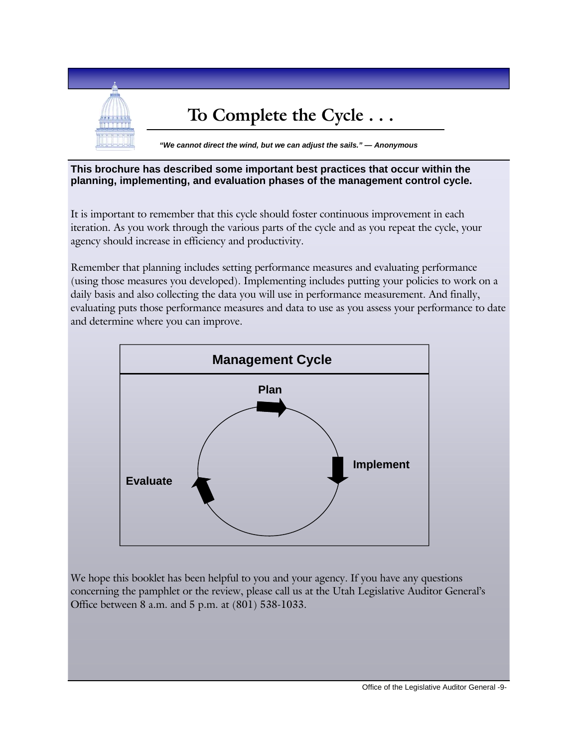

#### **This brochure has described some important best practices that occur within the planning, implementing, and evaluation phases of the management control cycle.**

It is important to remember that this cycle should foster continuous improvement in each iteration. As you work through the various parts of the cycle and as you repeat the cycle, your agency should increase in efficiency and productivity.

Remember that planning includes setting performance measures and evaluating performance (using those measures you developed). Implementing includes putting your policies to work on a daily basis and also collecting the data you will use in performance measurement. And finally, evaluating puts those performance measures and data to use as you assess your performance to date and determine where you can improve.



We hope this booklet has been helpful to you and your agency. If you have any questions concerning the pamphlet or the review, please call us at the Utah Legislative Auditor General's Office between 8 a.m. and 5 p.m. at (801) 538-1033.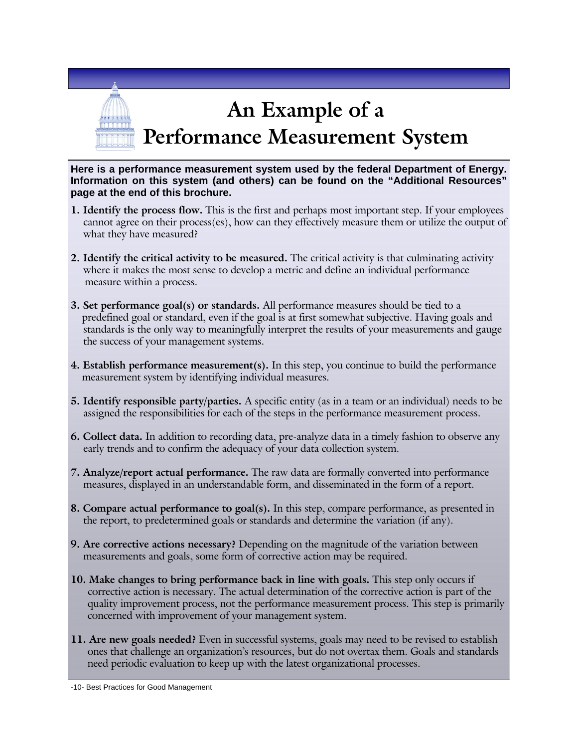

**Here is a performance measurement system used by the federal Department of Energy. Information on this system (and others) can be found on the "Additional Resources" page at the end of this brochure.** 

- **1. Identify the process flow.** This is the first and perhaps most important step. If your employees cannot agree on their process(es), how can they effectively measure them or utilize the output of what they have measured?
- **2. Identify the critical activity to be measured.** The critical activity is that culminating activity where it makes the most sense to develop a metric and define an individual performance measure within a process.
- **3. Set performance goal(s) or standards.** All performance measures should be tied to a predefined goal or standard, even if the goal is at first somewhat subjective. Having goals and standards is the only way to meaningfully interpret the results of your measurements and gauge the success of your management systems.
- **4. Establish performance measurement(s).** In this step, you continue to build the performance measurement system by identifying individual measures.
- **5. Identify responsible party/parties.** A specific entity (as in a team or an individual) needs to be assigned the responsibilities for each of the steps in the performance measurement process.
- **6. Collect data.** In addition to recording data, pre-analyze data in a timely fashion to observe any early trends and to confirm the adequacy of your data collection system.
- **7. Analyze/report actual performance.** The raw data are formally converted into performance measures, displayed in an understandable form, and disseminated in the form of a report.
- **8. Compare actual performance to goal(s).** In this step, compare performance, as presented in the report, to predetermined goals or standards and determine the variation (if any).
- **9. Are corrective actions necessary?** Depending on the magnitude of the variation between measurements and goals, some form of corrective action may be required.
- **10. Make changes to bring performance back in line with goals.** This step only occurs if corrective action is necessary. The actual determination of the corrective action is part of the quality improvement process, not the performance measurement process. This step is primarily concerned with improvement of your management system.
- **11. Are new goals needed?** Even in successful systems, goals may need to be revised to establish ones that challenge an organization's resources, but do not overtax them. Goals and standards need periodic evaluation to keep up with the latest organizational processes.

-10- Best Practices for Good Management